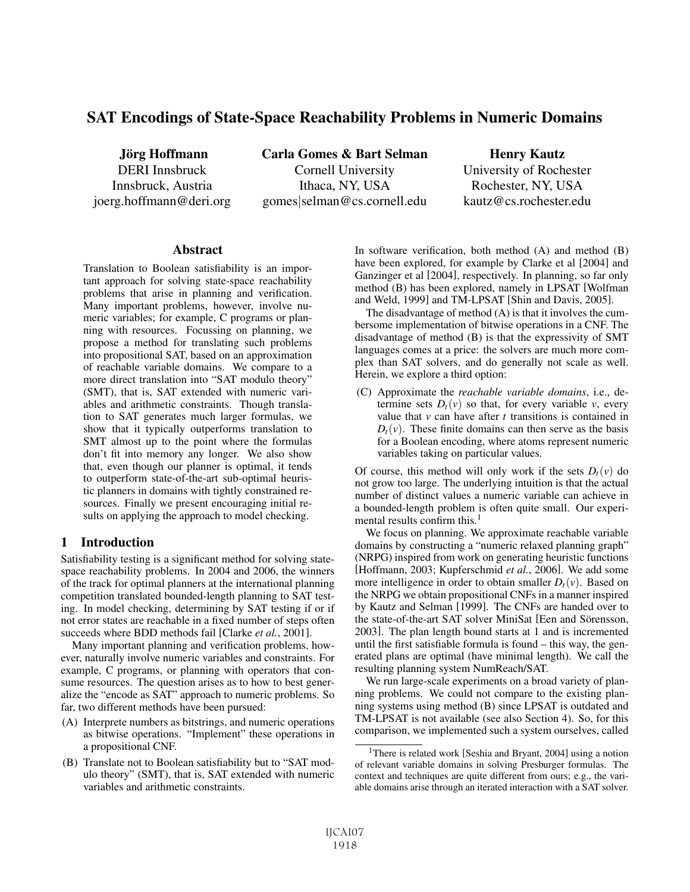# SAT Encodings of State-Space Reachability Problems in Numeric Domains

Jörg Hoffmann DERI Innsbruck Innsbruck, Austria joerg.hoffmann@deri.org Carla Gomes & Bart Selman Cornell University Ithaca, NY, USA gomes|selman@cs.cornell.edu

Henry Kautz University of Rochester Rochester, NY, USA kautz@cs.rochester.edu

## **Abstract**

Translation to Boolean satisfiability is an important approach for solving state-space reachability problems that arise in planning and verification. Many important problems, however, involve numeric variables; for example, C programs or planning with resources. Focussing on planning, we propose a method for translating such problems into propositional SAT, based on an approximation of reachable variable domains. We compare to a more direct translation into "SAT modulo theory" (SMT), that is, SAT extended with numeric variables and arithmetic constraints. Though translation to SAT generates much larger formulas, we show that it typically outperforms translation to SMT almost up to the point where the formulas don't fit into memory any longer. We also show that, even though our planner is optimal, it tends to outperform state-of-the-art sub-optimal heuristic planners in domains with tightly constrained resources. Finally we present encouraging initial results on applying the approach to model checking.

# 1 Introduction

Satisfiability testing is a significant method for solving statespace reachability problems. In 2004 and 2006, the winners of the track for optimal planners at the international planning competition translated bounded-length planning to SAT testing. In model checking, determining by SAT testing if or if not error states are reachable in a fixed number of steps often succeeds where BDD methods fail [Clarke *et al.*, 2001].

Many important planning and verification problems, however, naturally involve numeric variables and constraints. For example, C programs, or planning with operators that consume resources. The question arises as to how to best generalize the "encode as SAT" approach to numeric problems. So far, two different methods have been pursued:

- (A) Interprete numbers as bitstrings, and numeric operations as bitwise operations. "Implement" these operations in a propositional CNF.
- (B) Translate not to Boolean satisfiability but to "SAT modulo theory" (SMT), that is, SAT extended with numeric variables and arithmetic constraints.

In software verification, both method (A) and method (B) have been explored, for example by Clarke et al [2004] and Ganzinger et al [2004], respectively. In planning, so far only method (B) has been explored, namely in LPSAT [Wolfman and Weld, 1999] and TM-LPSAT [Shin and Davis, 2005].

The disadvantage of method (A) is that it involves the cumbersome implementation of bitwise operations in a CNF. The disadvantage of method (B) is that the expressivity of SMT languages comes at a price: the solvers are much more complex than SAT solvers, and do generally not scale as well. Herein, we explore a third option:

(C) Approximate the *reachable variable domains*, i.e., determine sets  $D_t(v)$  so that, for every variable *v*, every value that *v* can have after *t* transitions is contained in  $D_t(v)$ . These finite domains can then serve as the basis for a Boolean encoding, where atoms represent numeric variables taking on particular values.

Of course, this method will only work if the sets  $D_t(v)$  do not grow too large. The underlying intuition is that the actual number of distinct values a numeric variable can achieve in a bounded-length problem is often quite small. Our experimental results confirm this. $<sup>1</sup>$ </sup>

We focus on planning. We approximate reachable variable domains by constructing a "numeric relaxed planning graph" (NRPG) inspired from work on generating heuristic functions [Hoffmann, 2003; Kupferschmid *et al.*, 2006]. We add some more intelligence in order to obtain smaller  $D_t(v)$ . Based on the NRPG we obtain propositional CNFs in a manner inspired by Kautz and Selman [1999]. The CNFs are handed over to the state-of-the-art SAT solver MiniSat [Een and Sörensson, 2003]. The plan length bound starts at 1 and is incremented until the first satisfiable formula is found – this way, the generated plans are optimal (have minimal length). We call the resulting planning system NumReach/SAT.

We run large-scale experiments on a broad variety of planning problems. We could not compare to the existing planning systems using method (B) since LPSAT is outdated and TM-LPSAT is not available (see also Section 4). So, for this comparison, we implemented such a system ourselves, called

<sup>&</sup>lt;sup>1</sup>There is related work [Seshia and Bryant, 2004] using a notion of relevant variable domains in solving Presburger formulas. The context and techniques are quite different from ours; e.g., the variable domains arise through an iterated interaction with a SAT solver.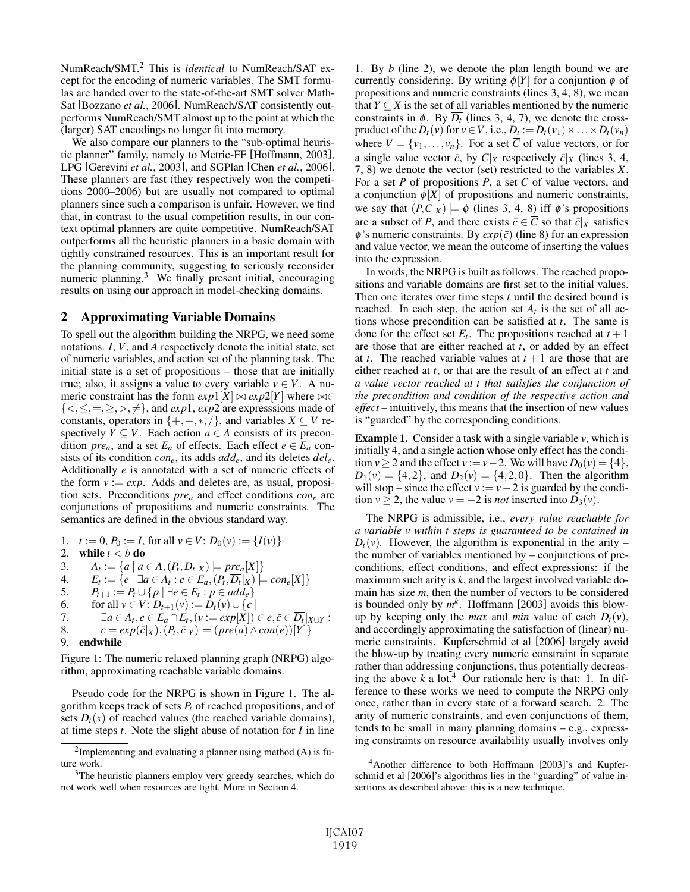NumReach/SMT.2 This is *identical* to NumReach/SAT except for the encoding of numeric variables. The SMT formulas are handed over to the state-of-the-art SMT solver Math-Sat [Bozzano *et al.*, 2006]. NumReach/SAT consistently outperforms NumReach/SMT almost up to the point at which the (larger) SAT encodings no longer fit into memory.

We also compare our planners to the "sub-optimal heuristic planner" family, namely to Metric-FF [Hoffmann, 2003], LPG [Gerevini *et al.*, 2003], and SGPlan [Chen *et al.*, 2006]. These planners are fast (they respectively won the competitions 2000–2006) but are usually not compared to optimal planners since such a comparison is unfair. However, we find that, in contrast to the usual competition results, in our context optimal planners are quite competitive. NumReach/SAT outperforms all the heuristic planners in a basic domain with tightly constrained resources. This is an important result for the planning community, suggesting to seriously reconsider numeric planning.<sup>3</sup> We finally present initial, encouraging results on using our approach in model-checking domains.

# 2 Approximating Variable Domains

To spell out the algorithm building the NRPG, we need some notations. *I*, *V*, and *A* respectively denote the initial state, set of numeric variables, and action set of the planning task. The initial state is a set of propositions – those that are initially true; also, it assigns a value to every variable  $v \in V$ . A numeric constraint has the form  $exp1[X] \bowtie exp2[Y]$  where  $\bowtie \in$  $\{<,\leq,=,\geq,>,\neq\}$ , and *exp*1, *exp*2 are expresssions made of constants, operators in  $\{+,-,*,\}$ , and variables *X* ⊆ *V* respectively  $Y \subseteq V$ . Each action  $a \in A$  consists of its precondition *pre<sub>a</sub>*, and a set  $E_a$  of effects. Each effect  $e \in E_a$  consists of its condition *cone*, its adds *adde*, and its deletes *dele*. Additionally *e* is annotated with a set of numeric effects of the form  $v := exp$ . Adds and deletes are, as usual, proposition sets. Preconditions *prea* and effect conditions *cone* are conjunctions of propositions and numeric constraints. The semantics are defined in the obvious standard way.

1. 
$$
t := 0, P_0 := I
$$
, for all  $v \in V: D_0(v) := \{I(v)\}$   
\n2. **while**  $t < b$  **do**  
\n3.  $A_t := \{a \mid a \in A, (P_t, \overline{D_t} | x) \models pre_a[X]\}$   
\n4.  $E_t := \{e \mid \exists a \in A_t : e \in E_a, (P_t, \overline{D_t} | x) \models con_e[X]\}$   
\n5.  $P_{t+1} := P_t \cup \{p \mid \exists e \in E_t : p \in add_e\}$   
\n6. for all  $v \in V: D_{t+1}(v) := D_t(v) \cup \{c \mid$   
\n7.  $\exists a \in A_t, e \in E_a \cap E_t, (v := exp[X]) \in e, \overline{c} \in \overline{D_t} | x \cup r :$   
\n8.  $c = exp(\overline{c} | x), (P_t, \overline{c} | r) \models (pre(a) \land con(e))[Y] \}$   
\n9. **endwhile**

Figure 1: The numeric relaxed planning graph (NRPG) algorithm, approximating reachable variable domains.

Pseudo code for the NRPG is shown in Figure 1. The algorithm keeps track of sets  $P_t$  of reached propositions, and of sets  $D_t(x)$  of reached values (the reached variable domains), at time steps *t*. Note the slight abuse of notation for *I* in line

1. By *b* (line 2), we denote the plan length bound we are currently considering. By writing  $\phi[Y]$  for a conjuntion  $\phi$  of propositions and numeric constraints (lines 3, 4, 8), we mean that *Y*  $\subseteq$  *X* is the set of all variables mentioned by the numeric constraints in  $\phi$ . By  $\overline{D}_t$  (lines 3, 4, 7), we denote the crossproduct of the  $D_t(v)$  for  $v \in V$ , i.e.,  $\overline{D_t} := D_t(v_1) \times ... \times D_t(v_n)$ where  $V = \{v_1, \ldots, v_n\}$ . For a set  $\overline{C}$  of value vectors, or for a single value vector  $\bar{c}$ , by  $\bar{C}|_X$  respectively  $\bar{c}|_X$  (lines 3, 4, 7, 8) we denote the vector (set) restricted to the variables *X*. For a set *P* of propositions *P*, a set  $\overline{C}$  of value vectors, and a conjunction  $\phi[X]$  of propositions and numeric constraints, we say that  $(P,\overline{C}|_X) \models \phi$  (lines 3, 4, 8) iff  $\phi$ 's propositions are a subset of *P*, and there exists  $\bar{c} \in \overline{C}$  so that  $\bar{c}|_X$  satisfies  $\phi$ 's numeric constraints. By  $exp(\bar{c})$  (line 8) for an expression and value vector, we mean the outcome of inserting the values into the expression.

In words, the NRPG is built as follows. The reached propositions and variable domains are first set to the initial values. Then one iterates over time steps *t* until the desired bound is reached. In each step, the action set  $A_t$  is the set of all actions whose precondition can be satisfied at *t*. The same is done for the effect set  $E_t$ . The propositions reached at  $t + 1$ are those that are either reached at *t*, or added by an effect at *t*. The reached variable values at  $t + 1$  are those that are either reached at *t*, or that are the result of an effect at *t* and *a value vector reached at t that satisfies the conjunction of the precondition and condition of the respective action and effect* – intuitively, this means that the insertion of new values is "guarded" by the corresponding conditions.

Example 1. Consider a task with a single variable *v*, which is initially 4, and a single action whose only effect has the condition  $v \ge 2$  and the effect  $v := v - 2$ . We will have  $D_0(v) = \{4\},\$  $D_1(v) = \{4, 2\}$ , and  $D_2(v) = \{4, 2, 0\}$ . Then the algorithm will stop – since the effect  $v := v - 2$  is guarded by the condition  $v \ge 2$ , the value  $v = -2$  is *not* inserted into  $D_3(v)$ .

The NRPG is admissible, i.e., *every value reachable for a variable v within t steps is guaranteed to be contained in*  $D_t(v)$ . However, the algorithm is exponential in the arity – the number of variables mentioned by – conjunctions of preconditions, effect conditions, and effect expressions: if the maximum such arity is *k*, and the largest involved variable domain has size *m*, then the number of vectors to be considered is bounded only by  $m^k$ . Hoffmann [2003] avoids this blowup by keeping only the *max* and *min* value of each  $D_t(v)$ , and accordingly approximating the satisfaction of (linear) numeric constraints. Kupferschmid et al [2006] largely avoid the blow-up by treating every numeric constraint in separate rather than addressing conjunctions, thus potentially decreasing the above  $k$  a lot.<sup>4</sup> Our rationale here is that: 1. In difference to these works we need to compute the NRPG only once, rather than in every state of a forward search. 2. The arity of numeric constraints, and even conjunctions of them, tends to be small in many planning domains – e.g., expressing constraints on resource availability usually involves only

<sup>&</sup>lt;sup>2</sup>Implementing and evaluating a planner using method  $(A)$  is future work.

<sup>&</sup>lt;sup>3</sup>The heuristic planners employ very greedy searches, which do not work well when resources are tight. More in Section 4.

<sup>4</sup>Another difference to both Hoffmann [2003]'s and Kupferschmid et al [2006]'s algorithms lies in the "guarding" of value insertions as described above: this is a new technique.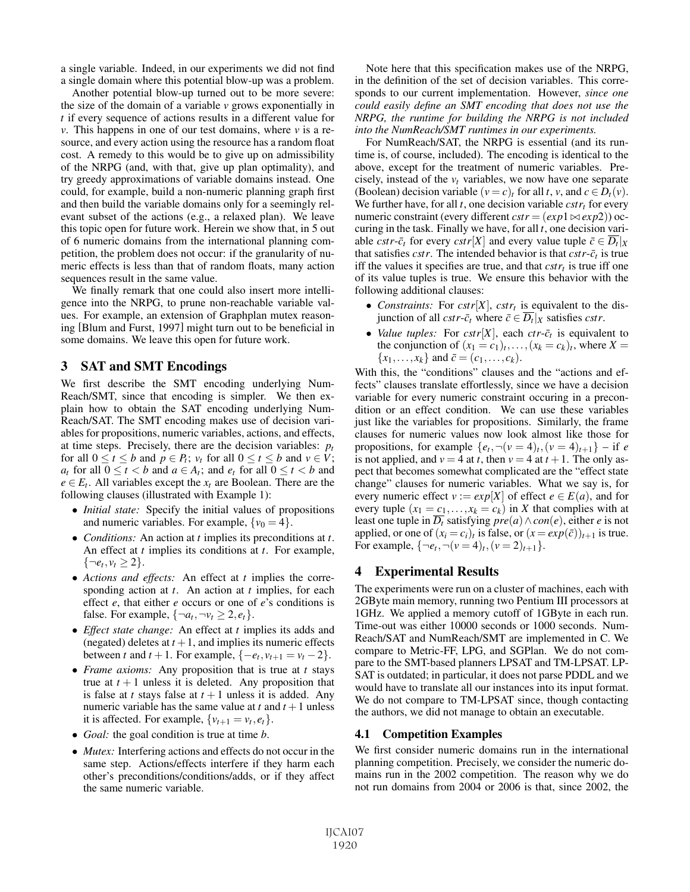a single variable. Indeed, in our experiments we did not find a single domain where this potential blow-up was a problem.

Another potential blow-up turned out to be more severe: the size of the domain of a variable *v* grows exponentially in *t* if every sequence of actions results in a different value for *v*. This happens in one of our test domains, where *v* is a resource, and every action using the resource has a random float cost. A remedy to this would be to give up on admissibility of the NRPG (and, with that, give up plan optimality), and try greedy approximations of variable domains instead. One could, for example, build a non-numeric planning graph first and then build the variable domains only for a seemingly relevant subset of the actions (e.g., a relaxed plan). We leave this topic open for future work. Herein we show that, in 5 out of 6 numeric domains from the international planning competition, the problem does not occur: if the granularity of numeric effects is less than that of random floats, many action sequences result in the same value.

We finally remark that one could also insert more intelligence into the NRPG, to prune non-reachable variable values. For example, an extension of Graphplan mutex reasoning [Blum and Furst, 1997] might turn out to be beneficial in some domains. We leave this open for future work.

## 3 SAT and SMT Encodings

We first describe the SMT encoding underlying Num-Reach/SMT, since that encoding is simpler. We then explain how to obtain the SAT encoding underlying Num-Reach/SAT. The SMT encoding makes use of decision variables for propositions, numeric variables, actions, and effects, at time steps. Precisely, there are the decision variables:  $p_t$ for all  $0 \le t \le b$  and  $p \in P_t$ ;  $v_t$  for all  $0 \le t \le b$  and  $v \in V$ ; *a<sub>t</sub>* for all  $0 \le t < b$  and  $a \in A_t$ ; and  $e_t$  for all  $0 \le t < b$  and  $e \in E_t$ . All variables except the  $x_t$  are Boolean. There are the following clauses (illustrated with Example 1):

- *Initial state:* Specify the initial values of propositions and numeric variables. For example,  $\{v_0 = 4\}$ .
- *Conditions:* An action at *t* implies its preconditions at *t*. An effect at *t* implies its conditions at *t*. For example,  $\{\neg e_t, v_t \geq 2\}.$
- *Actions and effects:* An effect at *t* implies the corresponding action at *t*. An action at *t* implies, for each effect *e*, that either *e* occurs or one of *e*'s conditions is false. For example,  $\{\neg a_t, \neg v_t \geq 2, e_t\}$ .
- *Effect state change:* An effect at *t* implies its adds and (negated) deletes at  $t + 1$ , and implies its numeric effects between *t* and *t* + 1. For example, {− $e_t$ ,  $v_{t+1} = v_t - 2$ }.
- *Frame axioms:* Any proposition that is true at *t* stays true at  $t + 1$  unless it is deleted. Any proposition that is false at *t* stays false at  $t + 1$  unless it is added. Any numeric variable has the same value at  $t$  and  $t + 1$  unless it is affected. For example,  $\{v_{t+1} = v_t, e_t\}$ .
- *Goal:* the goal condition is true at time *b*.
- *Mutex:* Interfering actions and effects do not occur in the same step. Actions/effects interfere if they harm each other's preconditions/conditions/adds, or if they affect the same numeric variable.

Note here that this specification makes use of the NRPG, in the definition of the set of decision variables. This corresponds to our current implementation. However, *since one could easily define an SMT encoding that does not use the NRPG, the runtime for building the NRPG is not included into the NumReach/SMT runtimes in our experiments.*

For NumReach/SAT, the NRPG is essential (and its runtime is, of course, included). The encoding is identical to the above, except for the treatment of numeric variables. Precisely, instead of the  $v_t$  variables, we now have one separate (Boolean) decision variable  $(v = c)_t$  for all *t*, *v*, and  $c \in D_t(v)$ . We further have, for all  $t$ , one decision variable  $cstr<sub>t</sub>$  for every numeric constraint (every different  $cstr = (exp1 \bowtie exp2)$ ) occuring in the task. Finally we have, for all *t*, one decision variable *cstr*- $\bar{c}_t$  for every *cstr*[*X*] and every value tuple  $\bar{c} \in \overline{D_t}|_X$ that satisfies *cstr*. The intended behavior is that  $cstr-\bar{c}_t$  is true iff the values it specifies are true, and that  $cstr<sub>t</sub>$  is true iff one of its value tuples is true. We ensure this behavior with the following additional clauses:

- *Constraints:* For  $cstr[X]$ ,  $cstr_t$  is equivalent to the disjunction of all *cstr*- $\bar{c}_t$  where  $\bar{c} \in \overline{D_t}|_X$  satisfies *cstr*.
- *Value tuples:* For  $cstr[X]$ , each  $ctr$ - $\bar{c}_t$  is equivalent to the conjunction of  $(x_1 = c_1)_t, \ldots, (x_k = c_k)_t$ , where  $X =$  ${x_1, \ldots, x_k}$  and  $\bar{c} = (c_1, \ldots, c_k)$ .

With this, the "conditions" clauses and the "actions and effects" clauses translate effortlessly, since we have a decision variable for every numeric constraint occuring in a precondition or an effect condition. We can use these variables just like the variables for propositions. Similarly, the frame clauses for numeric values now look almost like those for propositions, for example  $\{e_t, \neg(v=4)_t, (v=4)_{t+1}\}$  – if *e* is not applied, and  $v = 4$  at *t*, then  $v = 4$  at  $t + 1$ . The only aspect that becomes somewhat complicated are the "effect state change" clauses for numeric variables. What we say is, for every numeric effect  $v := exp[X]$  of effect  $e \in E(a)$ , and for every tuple  $(x_1 = c_1, \ldots, x_k = c_k)$  in *X* that complies with at least one tuple in  $\overline{D_t}$  satisfying  $pre(a) \land con(e)$ , either *e* is not applied, or one of  $(x_i = c_i)_t$  is false, or  $(x = exp(\bar{c}))_{t+1}$  is true. For example,  $\{\neg e_t, \neg(v=4)_t, (v=2)_{t+1}\}.$ 

# 4 Experimental Results

The experiments were run on a cluster of machines, each with 2GByte main memory, running two Pentium III processors at 1GHz. We applied a memory cutoff of 1GByte in each run. Time-out was either 10000 seconds or 1000 seconds. Num-Reach/SAT and NumReach/SMT are implemented in C. We compare to Metric-FF, LPG, and SGPlan. We do not compare to the SMT-based planners LPSAT and TM-LPSAT. LP-SAT is outdated; in particular, it does not parse PDDL and we would have to translate all our instances into its input format. We do not compare to TM-LPSAT since, though contacting the authors, we did not manage to obtain an executable.

## 4.1 Competition Examples

We first consider numeric domains run in the international planning competition. Precisely, we consider the numeric domains run in the 2002 competition. The reason why we do not run domains from 2004 or 2006 is that, since 2002, the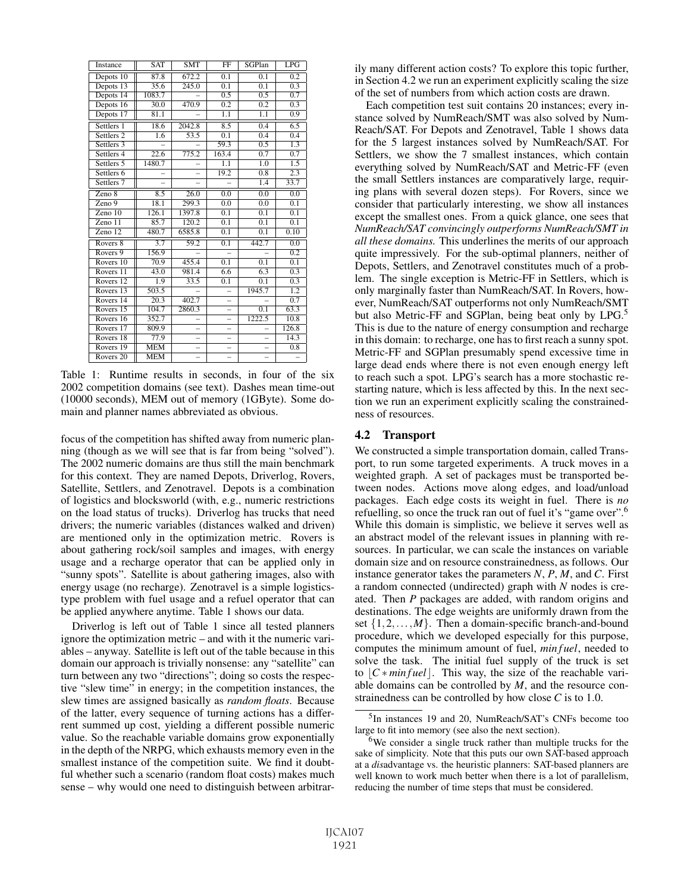| Instance              | <b>SAT</b>        | <b>SMT</b>        | FF                       | SGPlan           | LPG              |
|-----------------------|-------------------|-------------------|--------------------------|------------------|------------------|
| Depots 10             | 87.8              | 672.2             | 0.1                      | 0.1              | 0.2              |
| Depots 13             | 35.6              | 245.0             | 0.1                      | 0.1              | 0.3              |
| Depots 14             | 1083.7            |                   | 0.5                      | 0.5              | 0.7              |
| Depots 16             | 30.0              | 470.9             | 0.2                      | 0.2              | 0.3              |
| Depots 17             | 81.1              |                   | 1.1                      | 1.1              | 0.9              |
| Settlers 1            | 18.6              | 2042.8            | 8.5                      | $\overline{0.4}$ | 6.5              |
| Settlers <sub>2</sub> | 1.6               | 53.5              | 0.1                      | 0.4              | 0.4              |
| Settlers 3            |                   |                   | 59.3                     | 0.5              | 1.3              |
| Settlers 4            | 22.6              | 775.2             | 163.4                    | 0.7              | 0.7              |
| Settlers 5            | 1480.7            |                   | 1.1                      | 1.0              | $\overline{1.5}$ |
| Settlers 6            |                   |                   | 19.2                     | 0.8              | 2.3              |
| Settlers <sub>7</sub> |                   |                   |                          | $\overline{1.4}$ | 33.7             |
| Zeno 8                | 8.5               | $\overline{26.0}$ | 0.0                      | 0.0              | 0.0              |
| Zeno <sub>9</sub>     | 18.1              | 299.3             | 0.0                      | 0.0              | 0.1              |
| Zeno $10$             | 126.1             | 1397.8            | 0.1                      | 0.1              | 0.1              |
| $Zeno$ 11             | 85.7              | 120.2             | 0.1                      | 0.1              | 0.1              |
| Zeno 12               | 480.7             | 6585.8            | 0.1                      | 0.1              | 0.10             |
| Rovers 8              | 3.7               | 59.2              | 0.1                      | 442.7            | 0.0              |
| Rovers <sub>9</sub>   | 156.9             |                   |                          |                  | $\overline{0.2}$ |
| Rovers 10             | 70.9              | 455.4             | 0.1                      | 0.1              | 0.1              |
| Rovers <sub>11</sub>  | 43.0              | 981.4             | 6.6                      | 6.3              | 0.3              |
| Rovers <sub>12</sub>  | 1.9               | 33.5              | 0.1                      | $\overline{0.1}$ | 0.3              |
| Rovers $13$           | 503.5             |                   |                          | 1945.7           | $\overline{1.2}$ |
| Rovers 14             | $\overline{20.3}$ | 402.7             | $\equiv$                 |                  | 0.7              |
| Rovers 15             | 104.7             | 2860.3            |                          | 0.1              | 63.3             |
| Rovers 16             | 352.7             |                   | $\overline{\phantom{0}}$ | 1222.5           | 10.8             |
| Rovers 17             | 809.9             | L,                | $\overline{\phantom{0}}$ |                  | 126.8            |
| Rovers 18             | 77.9              |                   |                          |                  | 14.3             |
| Rovers 19             | <b>MEM</b>        |                   |                          |                  | 0.8              |
| Rovers <sub>20</sub>  | <b>MEM</b>        |                   | L.                       | L,               |                  |

Table 1: Runtime results in seconds, in four of the six 2002 competition domains (see text). Dashes mean time-out (10000 seconds), MEM out of memory (1GByte). Some domain and planner names abbreviated as obvious.

focus of the competition has shifted away from numeric planning (though as we will see that is far from being "solved"). The 2002 numeric domains are thus still the main benchmark for this context. They are named Depots, Driverlog, Rovers, Satellite, Settlers, and Zenotravel. Depots is a combination of logistics and blocksworld (with, e.g., numeric restrictions on the load status of trucks). Driverlog has trucks that need drivers; the numeric variables (distances walked and driven) are mentioned only in the optimization metric. Rovers is about gathering rock/soil samples and images, with energy usage and a recharge operator that can be applied only in "sunny spots". Satellite is about gathering images, also with energy usage (no recharge). Zenotravel is a simple logisticstype problem with fuel usage and a refuel operator that can be applied anywhere anytime. Table 1 shows our data.

Driverlog is left out of Table 1 since all tested planners ignore the optimization metric – and with it the numeric variables – anyway. Satellite is left out of the table because in this domain our approach is trivially nonsense: any "satellite" can turn between any two "directions"; doing so costs the respective "slew time" in energy; in the competition instances, the slew times are assigned basically as *random floats*. Because of the latter, every sequence of turning actions has a differrent summed up cost, yielding a different possible numeric value. So the reachable variable domains grow exponentially in the depth of the NRPG, which exhausts memory even in the smallest instance of the competition suite. We find it doubtful whether such a scenario (random float costs) makes much sense – why would one need to distinguish between arbitrarily many different action costs? To explore this topic further, in Section 4.2 we run an experiment explicitly scaling the size of the set of numbers from which action costs are drawn.

Each competition test suit contains 20 instances; every instance solved by NumReach/SMT was also solved by Num-Reach/SAT. For Depots and Zenotravel, Table 1 shows data for the 5 largest instances solved by NumReach/SAT. For Settlers, we show the 7 smallest instances, which contain everything solved by NumReach/SAT and Metric-FF (even the small Settlers instances are comparatively large, requiring plans with several dozen steps). For Rovers, since we consider that particularly interesting, we show all instances except the smallest ones. From a quick glance, one sees that *NumReach/SAT convincingly outperforms NumReach/SMT in all these domains.* This underlines the merits of our approach quite impressively. For the sub-optimal planners, neither of Depots, Settlers, and Zenotravel constitutes much of a problem. The single exception is Metric-FF in Settlers, which is only marginally faster than NumReach/SAT. In Rovers, however, NumReach/SAT outperforms not only NumReach/SMT but also Metric-FF and SGPlan, being beat only by LPG.<sup>5</sup> This is due to the nature of energy consumption and recharge in this domain: to recharge, one has to first reach a sunny spot. Metric-FF and SGPlan presumably spend excessive time in large dead ends where there is not even enough energy left to reach such a spot. LPG's search has a more stochastic restarting nature, which is less affected by this. In the next section we run an experiment explicitly scaling the constrainedness of resources.

#### 4.2 Transport

We constructed a simple transportation domain, called Transport, to run some targeted experiments. A truck moves in a weighted graph. A set of packages must be transported between nodes. Actions move along edges, and load/unload packages. Each edge costs its weight in fuel. There is *no* refuelling, so once the truck ran out of fuel it's "game over".6 While this domain is simplistic, we believe it serves well as an abstract model of the relevant issues in planning with resources. In particular, we can scale the instances on variable domain size and on resource constrainedness, as follows. Our instance generator takes the parameters *N*, *P*, *M*, and *C*. First a random connected (undirected) graph with *N* nodes is created. Then *P* packages are added, with random origins and destinations. The edge weights are uniformly drawn from the set  $\{1,2,\ldots,M\}$ . Then a domain-specific branch-and-bound procedure, which we developed especially for this purpose, computes the minimum amount of fuel, *min f uel*, needed to solve the task. The initial fuel supply of the truck is set to  $|C * min fuel|$ . This way, the size of the reachable variable domains can be controlled by *M*, and the resource constrainedness can be controlled by how close *C* is to 1.0.

<sup>5</sup>In instances 19 and 20, NumReach/SAT's CNFs become too large to fit into memory (see also the next section).

<sup>&</sup>lt;sup>6</sup>We consider a single truck rather than multiple trucks for the sake of simplicity. Note that this puts our own SAT-based approach at a *dis*advantage vs. the heuristic planners: SAT-based planners are well known to work much better when there is a lot of parallelism, reducing the number of time steps that must be considered.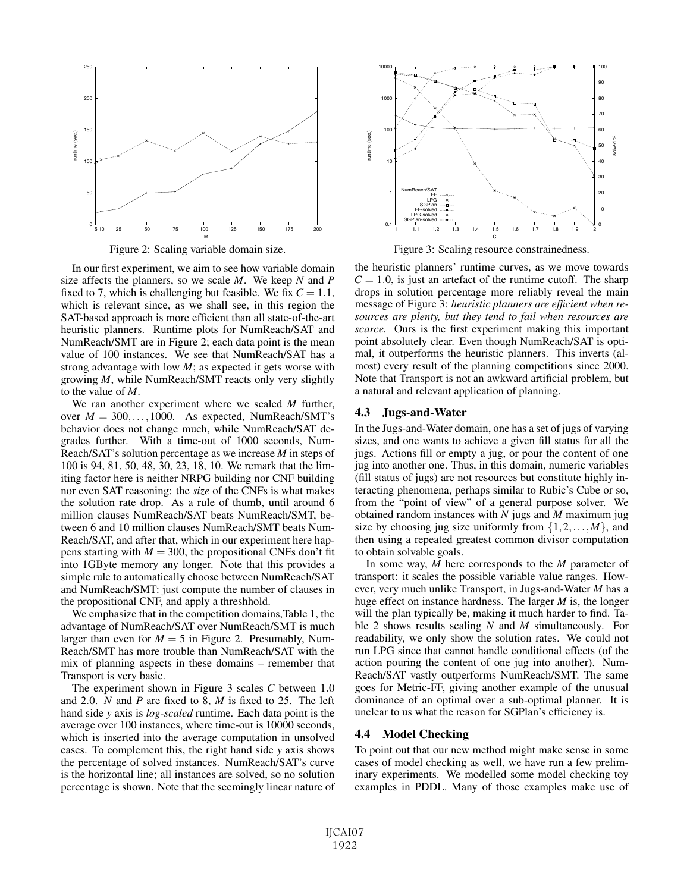

Figure 2: Scaling variable domain size.

In our first experiment, we aim to see how variable domain size affects the planners, so we scale *M*. We keep *N* and *P* fixed to 7, which is challenging but feasible. We fix  $C = 1.1$ , which is relevant since, as we shall see, in this region the SAT-based approach is more efficient than all state-of-the-art heuristic planners. Runtime plots for NumReach/SAT and NumReach/SMT are in Figure 2; each data point is the mean value of 100 instances. We see that NumReach/SAT has a strong advantage with low *M*; as expected it gets worse with growing *M*, while NumReach/SMT reacts only very slightly to the value of *M*.

We ran another experiment where we scaled *M* further, over  $M = 300, \ldots, 1000$ . As expected, NumReach/SMT's behavior does not change much, while NumReach/SAT degrades further. With a time-out of 1000 seconds, Num-Reach/SAT's solution percentage as we increase *M* in steps of 100 is 94, 81, 50, 48, 30, 23, 18, 10. We remark that the limiting factor here is neither NRPG building nor CNF building nor even SAT reasoning: the *size* of the CNFs is what makes the solution rate drop. As a rule of thumb, until around 6 million clauses NumReach/SAT beats NumReach/SMT, between 6 and 10 million clauses NumReach/SMT beats Num-Reach/SAT, and after that, which in our experiment here happens starting with  $M = 300$ , the propositional CNFs don't fit into 1GByte memory any longer. Note that this provides a simple rule to automatically choose between NumReach/SAT and NumReach/SMT: just compute the number of clauses in the propositional CNF, and apply a threshhold.

We emphasize that in the competition domains,Table 1, the advantage of NumReach/SAT over NumReach/SMT is much larger than even for  $M = 5$  in Figure 2. Presumably, Num-Reach/SMT has more trouble than NumReach/SAT with the mix of planning aspects in these domains – remember that Transport is very basic.

The experiment shown in Figure 3 scales *C* between 1.0 and 2.0. *N* and *P* are fixed to 8, *M* is fixed to 25. The left hand side *y* axis is *log-scaled* runtime. Each data point is the average over 100 instances, where time-out is 10000 seconds, which is inserted into the average computation in unsolved cases. To complement this, the right hand side *y* axis shows the percentage of solved instances. NumReach/SAT's curve is the horizontal line; all instances are solved, so no solution percentage is shown. Note that the seemingly linear nature of



Figure 3: Scaling resource constrainedness.

the heuristic planners' runtime curves, as we move towards  $C = 1.0$ , is just an artefact of the runtime cutoff. The sharp drops in solution percentage more reliably reveal the main message of Figure 3: *heuristic planners are efficient when resources are plenty, but they tend to fail when resources are scarce.* Ours is the first experiment making this important point absolutely clear. Even though NumReach/SAT is optimal, it outperforms the heuristic planners. This inverts (almost) every result of the planning competitions since 2000. Note that Transport is not an awkward artificial problem, but a natural and relevant application of planning.

#### 4.3 Jugs-and-Water

In the Jugs-and-Water domain, one has a set of jugs of varying sizes, and one wants to achieve a given fill status for all the jugs. Actions fill or empty a jug, or pour the content of one jug into another one. Thus, in this domain, numeric variables (fill status of jugs) are not resources but constitute highly interacting phenomena, perhaps similar to Rubic's Cube or so, from the "point of view" of a general purpose solver. We obtained random instances with *N* jugs and *M* maximum jug size by choosing jug size uniformly from  $\{1, 2, \ldots, M\}$ , and then using a repeated greatest common divisor computation to obtain solvable goals.

In some way, *M* here corresponds to the *M* parameter of transport: it scales the possible variable value ranges. However, very much unlike Transport, in Jugs-and-Water *M* has a huge effect on instance hardness. The larger *M* is, the longer will the plan typically be, making it much harder to find. Table 2 shows results scaling *N* and *M* simultaneously. For readability, we only show the solution rates. We could not run LPG since that cannot handle conditional effects (of the action pouring the content of one jug into another). Num-Reach/SAT vastly outperforms NumReach/SMT. The same goes for Metric-FF, giving another example of the unusual dominance of an optimal over a sub-optimal planner. It is unclear to us what the reason for SGPlan's efficiency is.

## 4.4 Model Checking

To point out that our new method might make sense in some cases of model checking as well, we have run a few preliminary experiments. We modelled some model checking toy examples in PDDL. Many of those examples make use of